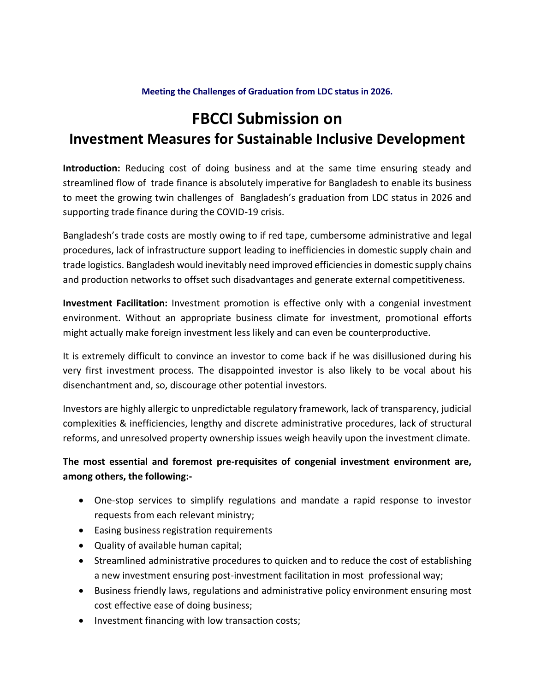#### **Meeting the Challenges of Graduation from LDC status in 2026.**

# **FBCCI Submission on Investment Measures for Sustainable Inclusive Development**

**Introduction:** Reducing cost of doing business and at the same time ensuring steady and streamlined flow of trade finance is absolutely imperative for Bangladesh to enable its business to meet the growing twin challenges of Bangladesh's graduation from LDC status in 2026 and supporting trade finance during the COVID-19 crisis.

Bangladesh's trade costs are mostly owing to if red tape, cumbersome administrative and legal procedures, lack of infrastructure support leading to inefficiencies in domestic supply chain and trade logistics. Bangladesh would inevitably need improved efficiencies in domestic supply chains and production networks to offset such disadvantages and generate external competitiveness.

**Investment Facilitation:** Investment promotion is effective only with a congenial investment environment. Without an appropriate business climate for investment, promotional efforts might actually make foreign investment less likely and can even be counterproductive.

It is extremely difficult to convince an investor to come back if he was disillusioned during his very first investment process. The disappointed investor is also likely to be vocal about his disenchantment and, so, discourage other potential investors.

Investors are highly allergic to unpredictable regulatory framework, lack of transparency, judicial complexities & inefficiencies, lengthy and discrete administrative procedures, lack of structural reforms, and unresolved property ownership issues weigh heavily upon the investment climate.

## **The most essential and foremost pre-requisites of congenial investment environment are, among others, the following:-**

- One-stop services to simplify regulations and mandate a rapid response to investor requests from each relevant ministry;
- Easing business registration requirements
- Quality of available human capital;
- Streamlined administrative procedures to quicken and to reduce the cost of establishing a new investment ensuring post-investment facilitation in most professional way;
- Business friendly laws, regulations and administrative policy environment ensuring most cost effective ease of doing business;
- Investment financing with low transaction costs;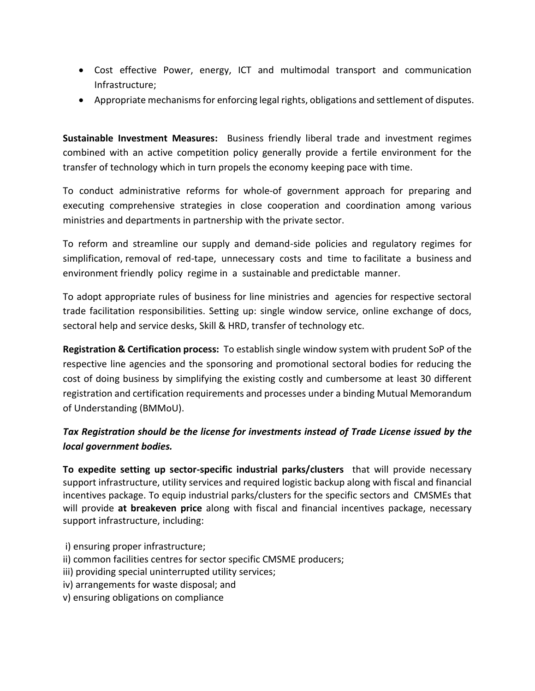- Cost effective Power, energy, ICT and multimodal transport and communication Infrastructure;
- Appropriate mechanisms for enforcing legal rights, obligations and settlement of disputes.

**Sustainable Investment Measures:** Business friendly liberal trade and investment regimes combined with an active competition policy generally provide a fertile environment for the transfer of technology which in turn propels the economy keeping pace with time.

To conduct administrative reforms for whole-of government approach for preparing and executing comprehensive strategies in close cooperation and coordination among various ministries and departments in partnership with the private sector.

To reform and streamline our supply and demand-side policies and regulatory regimes for simplification, removal of red-tape, unnecessary costs and time to facilitate a business and environment friendly policy regime in a sustainable and predictable manner.

To adopt appropriate rules of business for line ministries and agencies for respective sectoral trade facilitation responsibilities. Setting up: single window service, online exchange of docs, sectoral help and service desks, Skill & HRD, transfer of technology etc.

**Registration & Certification process:** To establish single window system with prudent SoP of the respective line agencies and the sponsoring and promotional sectoral bodies for reducing the cost of doing business by simplifying the existing costly and cumbersome at least 30 different registration and certification requirements and processes under a binding Mutual Memorandum of Understanding (BMMoU).

# *Tax Registration should be the license for investments instead of Trade License issued by the local government bodies.*

**To expedite setting up sector-specific industrial parks/clusters** that will provide necessary support infrastructure, utility services and required logistic backup along with fiscal and financial incentives package. To equip industrial parks/clusters for the specific sectors and CMSMEs that will provide **at breakeven price** along with fiscal and financial incentives package, necessary support infrastructure, including:

- i) ensuring proper infrastructure;
- ii) common facilities centres for sector specific CMSME producers;
- iii) providing special uninterrupted utility services;
- iv) arrangements for waste disposal; and
- v) ensuring obligations on compliance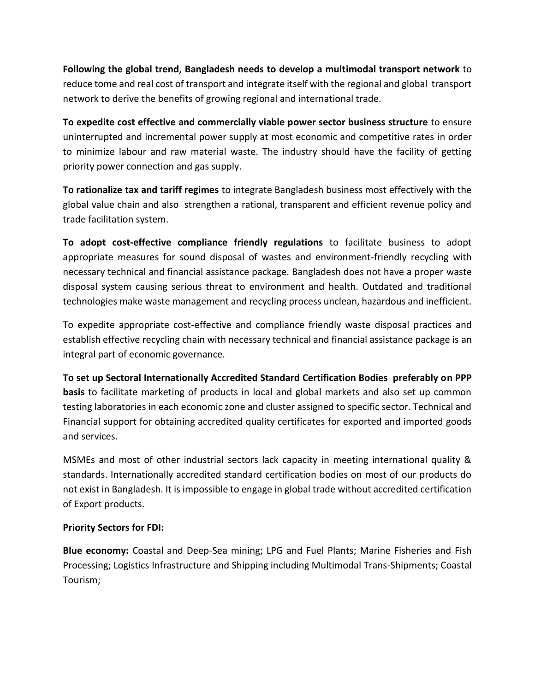**Following the global trend, Bangladesh needs to develop a multimodal transport network** to reduce tome and real cost of transport and integrate itself with the regional and global transport network to derive the benefits of growing regional and international trade.

**To expedite cost effective and commercially viable power sector business structure** to ensure uninterrupted and incremental power supply at most economic and competitive rates in order to minimize labour and raw material waste. The industry should have the facility of getting priority power connection and gas supply.

**To rationalize tax and tariff regimes** to integrate Bangladesh business most effectively with the global value chain and also strengthen a rational, transparent and efficient revenue policy and trade facilitation system.

**To adopt cost-effective compliance friendly regulations** to facilitate business to adopt appropriate measures for sound disposal of wastes and environment-friendly recycling with necessary technical and financial assistance package. Bangladesh does not have a proper waste disposal system causing serious threat to environment and health. Outdated and traditional technologies make waste management and recycling process unclean, hazardous and inefficient.

To expedite appropriate cost-effective and compliance friendly waste disposal practices and establish effective recycling chain with necessary technical and financial assistance package is an integral part of economic governance.

#### **To set up Sectoral Internationally Accredited Standard Certification Bodies preferably on PPP**

**basis** to facilitate marketing of products in local and global markets and also set up common testing laboratories in each economic zone and cluster assigned to specific sector. Technical and Financial support for obtaining accredited quality certificates for exported and imported goods and services.

MSMEs and most of other industrial sectors lack capacity in meeting international quality & standards. Internationally accredited standard certification bodies on most of our products do not exist in Bangladesh. It is impossible to engage in global trade without accredited certification of Export products.

#### **Priority Sectors for FDI:**

**Blue economy:** Coastal and Deep-Sea mining; LPG and Fuel Plants; Marine Fisheries and Fish Processing; Logistics Infrastructure and Shipping including Multimodal Trans-Shipments; Coastal Tourism;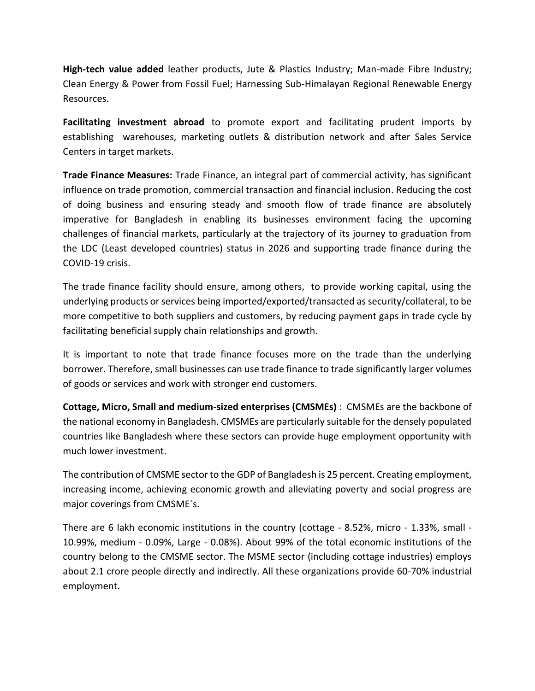**High-tech value added** leather products, Jute & Plastics Industry; Man-made Fibre Industry; Clean Energy & Power from Fossil Fuel; Harnessing Sub-Himalayan Regional Renewable Energy Resources.

**Facilitating investment abroad** to promote export and facilitating prudent imports by establishing warehouses, marketing outlets & distribution network and after Sales Service Centers in target markets.

**Trade Finance Measures:** Trade Finance, an integral part of commercial activity, has significant influence on trade promotion, commercial transaction and financial inclusion. Reducing the cost of doing business and ensuring steady and smooth flow of trade finance are absolutely imperative for Bangladesh in enabling its businesses environment facing the upcoming challenges of financial markets, particularly at the trajectory of its journey to graduation from the LDC (Least developed countries) status in 2026 and supporting trade finance during the COVID-19 crisis.

The trade finance facility should ensure, among others, to provide working capital, using the underlying products or services being imported/exported/transacted as security/collateral, to be more competitive to both suppliers and customers, by reducing payment gaps in trade cycle by facilitating beneficial supply chain relationships and growth.

It is important to note that trade finance focuses more on the trade than the underlying borrower. Therefore, small businesses can use trade finance to trade significantly larger volumes of goods or services and work with stronger end customers.

**Cottage, Micro, Small and medium-sized enterprises (CMSMEs)** : CMSMEs are the backbone of the national economy in Bangladesh. CMSMEs are particularly suitable for the densely populated countries like Bangladesh where these sectors can provide huge employment opportunity with much lower investment.

The contribution of CMSME sector to the GDP of Bangladesh is 25 percent. Creating employment, increasing income, achieving economic growth and alleviating poverty and social progress are major coverings from CMSME`s.

There are 6 lakh economic institutions in the country (cottage - 8.52%, micro - 1.33%, small - 10.99%, medium - 0.09%, Large - 0.08%). About 99% of the total economic institutions of the country belong to the CMSME sector. The MSME sector (including cottage industries) employs about 2.1 crore people directly and indirectly. All these organizations provide 60-70% industrial employment.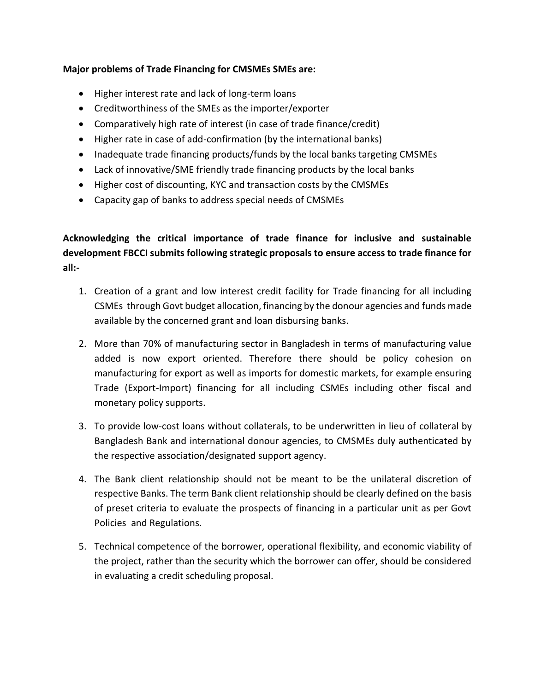### **Major problems of Trade Financing for CMSMEs SMEs are:**

- Higher interest rate and lack of long-term loans
- Creditworthiness of the SMEs as the importer/exporter
- Comparatively high rate of interest (in case of trade finance/credit)
- Higher rate in case of add-confirmation (by the international banks)
- Inadequate trade financing products/funds by the local banks targeting CMSMEs
- Lack of innovative/SME friendly trade financing products by the local banks
- Higher cost of discounting, KYC and transaction costs by the CMSMEs
- Capacity gap of banks to address special needs of CMSMEs

**Acknowledging the critical importance of trade finance for inclusive and sustainable development FBCCI submits following strategic proposals to ensure access to trade finance for all:-**

- 1. Creation of a grant and low interest credit facility for Trade financing for all including CSMEs through Govt budget allocation, financing by the donour agencies and funds made available by the concerned grant and loan disbursing banks.
- 2. More than 70% of manufacturing sector in Bangladesh in terms of manufacturing value added is now export oriented. Therefore there should be policy cohesion on manufacturing for export as well as imports for domestic markets, for example ensuring Trade (Export-Import) financing for all including CSMEs including other fiscal and monetary policy supports.
- 3. To provide low-cost loans without collaterals, to be underwritten in lieu of collateral by Bangladesh Bank and international donour agencies, to CMSMEs duly authenticated by the respective association/designated support agency.
- 4. The Bank client relationship should not be meant to be the unilateral discretion of respective Banks. The term Bank client relationship should be clearly defined on the basis of preset criteria to evaluate the prospects of financing in a particular unit as per Govt Policies and Regulations.
- 5. Technical competence of the borrower, operational flexibility, and economic viability of the project, rather than the security which the borrower can offer, should be considered in evaluating a credit scheduling proposal.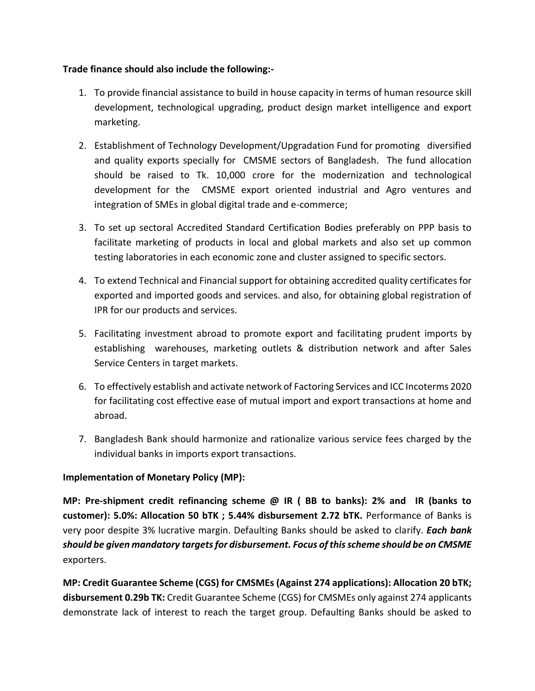### **Trade finance should also include the following:-**

- 1. To provide financial assistance to build in house capacity in terms of human resource skill development, technological upgrading, product design market intelligence and export marketing.
- 2. Establishment of Technology Development/Upgradation Fund for promoting diversified and quality exports specially for CMSME sectors of Bangladesh. The fund allocation should be raised to Tk. 10,000 crore for the modernization and technological development for the CMSME export oriented industrial and Agro ventures and integration of SMEs in global digital trade and e-commerce;
- 3. To set up sectoral Accredited Standard Certification Bodies preferably on PPP basis to facilitate marketing of products in local and global markets and also set up common testing laboratories in each economic zone and cluster assigned to specific sectors.
- 4. To extend Technical and Financial support for obtaining accredited quality certificates for exported and imported goods and services. and also, for obtaining global registration of IPR for our products and services.
- 5. Facilitating investment abroad to promote export and facilitating prudent imports by establishing warehouses, marketing outlets & distribution network and after Sales Service Centers in target markets.
- 6. To effectively establish and activate network of Factoring Services and ICC Incoterms 2020 for facilitating cost effective ease of mutual import and export transactions at home and abroad.
- 7. Bangladesh Bank should harmonize and rationalize various service fees charged by the individual banks in imports export transactions.

## **Implementation of Monetary Policy (MP):**

**MP: Pre-shipment credit refinancing scheme @ IR ( BB to banks): 2% and IR (banks to customer): 5.0%: Allocation 50 bTK ; 5.44% disbursement 2.72 bTK.** Performance of Banks is very poor despite 3% lucrative margin. Defaulting Banks should be asked to clarify. *Each bank should be given mandatory targets for disbursement. Focus of this scheme should be on CMSME* exporters.

**MP: Credit Guarantee Scheme (CGS) for CMSMEs (Against 274 applications): Allocation 20 bTK; disbursement 0.29b TK:** Credit Guarantee Scheme (CGS) for CMSMEs only against 274 applicants demonstrate lack of interest to reach the target group. Defaulting Banks should be asked to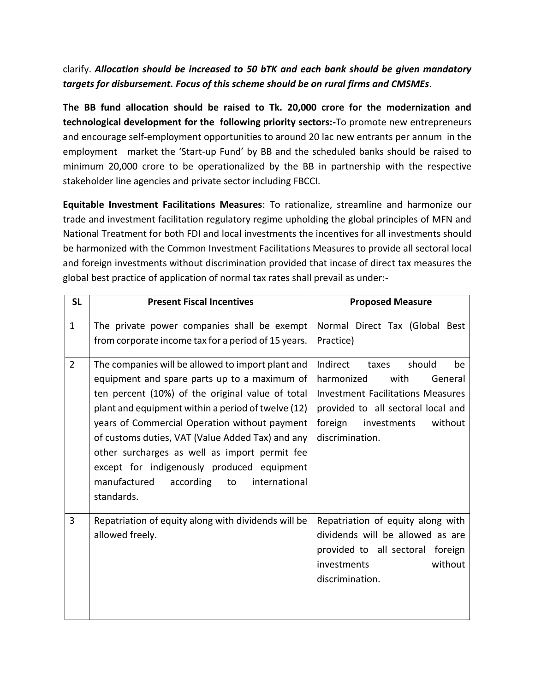# clarify. *Allocation should be increased to 50 bTK and each bank should be given mandatory targets for disbursement. Focus of this scheme should be on rural firms and CMSMEs*.

**The BB fund allocation should be raised to Tk. 20,000 crore for the modernization and technological development for the following priority sectors:-**To promote new entrepreneurs and encourage self-employment opportunities to around 20 lac new entrants per annum in the employment market the 'Start-up Fund' by BB and the scheduled banks should be raised to minimum 20,000 crore to be operationalized by the BB in partnership with the respective stakeholder line agencies and private sector including FBCCI.

**Equitable Investment Facilitations Measures**: To rationalize, streamline and harmonize our trade and investment facilitation regulatory regime upholding the global principles of MFN and National Treatment for both FDI and local investments the incentives for all investments should be harmonized with the Common Investment Facilitations Measures to provide all sectoral local and foreign investments without discrimination provided that incase of direct tax measures the global best practice of application of normal tax rates shall prevail as under:-

| <b>SL</b>      | <b>Present Fiscal Incentives</b>                                                                                                                                                                                                                                                                                                                                                                                                                                                  | <b>Proposed Measure</b>                                                                                                                                                                                      |
|----------------|-----------------------------------------------------------------------------------------------------------------------------------------------------------------------------------------------------------------------------------------------------------------------------------------------------------------------------------------------------------------------------------------------------------------------------------------------------------------------------------|--------------------------------------------------------------------------------------------------------------------------------------------------------------------------------------------------------------|
| $\mathbf{1}$   | The private power companies shall be exempt<br>from corporate income tax for a period of 15 years.                                                                                                                                                                                                                                                                                                                                                                                | Normal Direct Tax (Global Best<br>Practice)                                                                                                                                                                  |
| $\overline{2}$ | The companies will be allowed to import plant and<br>equipment and spare parts up to a maximum of<br>ten percent (10%) of the original value of total<br>plant and equipment within a period of twelve (12)<br>years of Commercial Operation without payment<br>of customs duties, VAT (Value Added Tax) and any<br>other surcharges as well as import permit fee<br>except for indigenously produced equipment<br>manufactured<br>according<br>to<br>international<br>standards. | Indirect<br>should<br>taxes<br>be<br>harmonized<br>with<br>General<br><b>Investment Facilitations Measures</b><br>provided to all sectoral local and<br>foreign<br>investments<br>without<br>discrimination. |
| 3              | Repatriation of equity along with dividends will be<br>allowed freely.                                                                                                                                                                                                                                                                                                                                                                                                            | Repatriation of equity along with<br>dividends will be allowed as are<br>provided to all sectoral foreign<br>without<br>investments<br>discrimination.                                                       |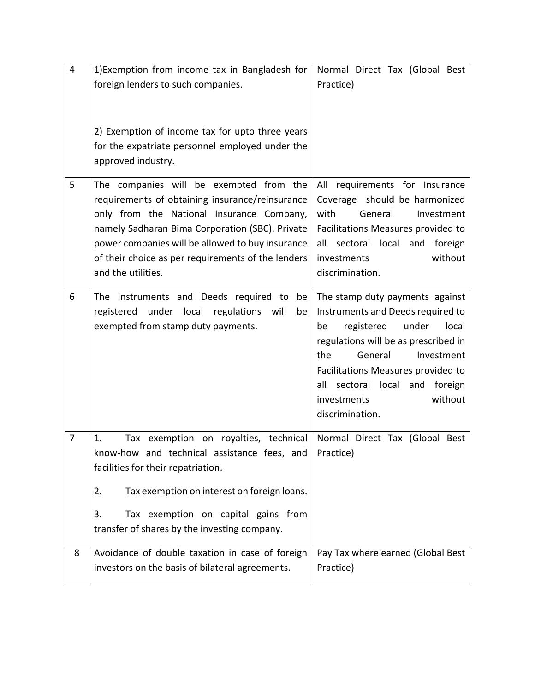| $\overline{4}$ | 1) Exemption from income tax in Bangladesh for                                                                                                                                                                                                                                                                             | Normal Direct Tax (Global Best                                                                                                                                                                                                                                                                          |
|----------------|----------------------------------------------------------------------------------------------------------------------------------------------------------------------------------------------------------------------------------------------------------------------------------------------------------------------------|---------------------------------------------------------------------------------------------------------------------------------------------------------------------------------------------------------------------------------------------------------------------------------------------------------|
|                | foreign lenders to such companies.                                                                                                                                                                                                                                                                                         | Practice)                                                                                                                                                                                                                                                                                               |
|                | 2) Exemption of income tax for upto three years<br>for the expatriate personnel employed under the<br>approved industry.                                                                                                                                                                                                   |                                                                                                                                                                                                                                                                                                         |
| 5              | The companies will be exempted from the<br>requirements of obtaining insurance/reinsurance<br>only from the National Insurance Company,<br>namely Sadharan Bima Corporation (SBC). Private<br>power companies will be allowed to buy insurance<br>of their choice as per requirements of the lenders<br>and the utilities. | All requirements for Insurance<br>Coverage should be harmonized<br>with<br>General<br>Investment<br>Facilitations Measures provided to<br>all sectoral local and foreign<br>without<br>investments<br>discrimination.                                                                                   |
| 6              | The Instruments and Deeds required to<br>be<br>registered under local regulations will<br>be<br>exempted from stamp duty payments.                                                                                                                                                                                         | The stamp duty payments against<br>Instruments and Deeds required to<br>registered under<br>local<br>be<br>regulations will be as prescribed in<br>General<br>the<br>Investment<br>Facilitations Measures provided to<br>all sectoral local<br>and foreign<br>without<br>investments<br>discrimination. |
| $\overline{7}$ | Tax exemption on royalties, technical Normal Direct Tax (Global Best<br>1.<br>know-how and technical assistance fees, and $ $ Practice)<br>facilities for their repatriation.<br>2.<br>Tax exemption on interest on foreign loans.                                                                                         |                                                                                                                                                                                                                                                                                                         |
|                | 3.<br>Tax exemption on capital gains from<br>transfer of shares by the investing company.                                                                                                                                                                                                                                  |                                                                                                                                                                                                                                                                                                         |
| 8              | Avoidance of double taxation in case of foreign<br>investors on the basis of bilateral agreements.                                                                                                                                                                                                                         | Pay Tax where earned (Global Best<br>Practice)                                                                                                                                                                                                                                                          |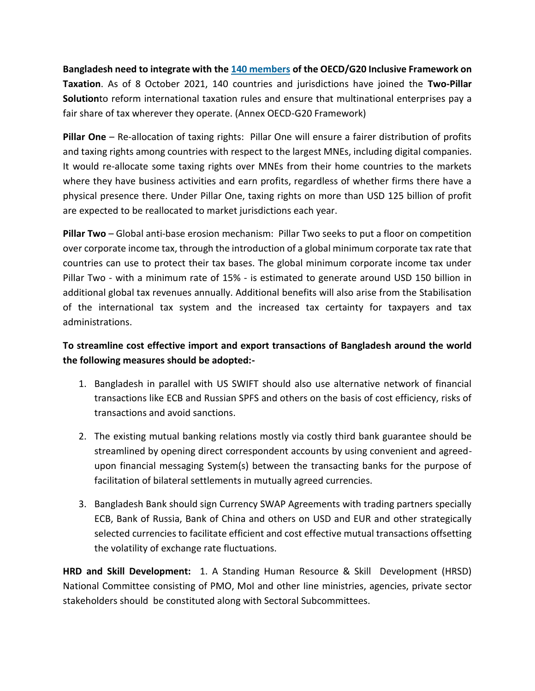**Bangladesh need to integrate with the [140 members](https://www.oecd.org/tax/beps/inclusive-framework-on-beps-composition.pdf) of the OECD/G20 Inclusive Framework on Taxation**. As of 8 October 2021, 140 countries and jurisdictions have joined the **Two-Pillar Solution**to reform international taxation rules and ensure that multinational enterprises pay a fair share of tax wherever they operate. (Annex OECD-G20 Framework)

**Pillar One** – Re-allocation of taxing rights: Pillar One will ensure a fairer distribution of profits and taxing rights among countries with respect to the largest MNEs, including digital companies. It would re-allocate some taxing rights over MNEs from their home countries to the markets where they have business activities and earn profits, regardless of whether firms there have a physical presence there. Under Pillar One, taxing rights on more than USD 125 billion of profit are expected to be reallocated to market jurisdictions each year.

**Pillar Two** – Global anti-base erosion mechanism: Pillar Two seeks to put a floor on competition over corporate income tax, through the introduction of a global minimum corporate tax rate that countries can use to protect their tax bases. The global minimum corporate income tax under Pillar Two - with a minimum rate of 15% - is estimated to generate around USD 150 billion in additional global tax revenues annually. Additional benefits will also arise from the Stabilisation of the international tax system and the increased tax certainty for taxpayers and tax administrations.

# **To streamline cost effective import and export transactions of Bangladesh around the world the following measures should be adopted:-**

- 1. Bangladesh in parallel with US SWIFT should also use alternative network of financial transactions like ECB and Russian SPFS and others on the basis of cost efficiency, risks of transactions and avoid sanctions.
- 2. The existing mutual banking relations mostly via costly third bank guarantee should be streamlined by opening direct correspondent accounts by using convenient and agreedupon financial messaging System(s) between the transacting banks for the purpose of facilitation of bilateral settlements in mutually agreed currencies.
- 3. Bangladesh Bank should sign Currency SWAP Agreements with trading partners specially ECB, Bank of Russia, Bank of China and others on USD and EUR and other strategically selected currencies to facilitate efficient and cost effective mutual transactions offsetting the volatility of exchange rate fluctuations.

**HRD and Skill Development:** 1. A Standing Human Resource & Skill Development (HRSD) National Committee consisting of PMO, MoI and other Iine ministries, agencies, private sector stakeholders should be constituted along with Sectoral Subcommittees.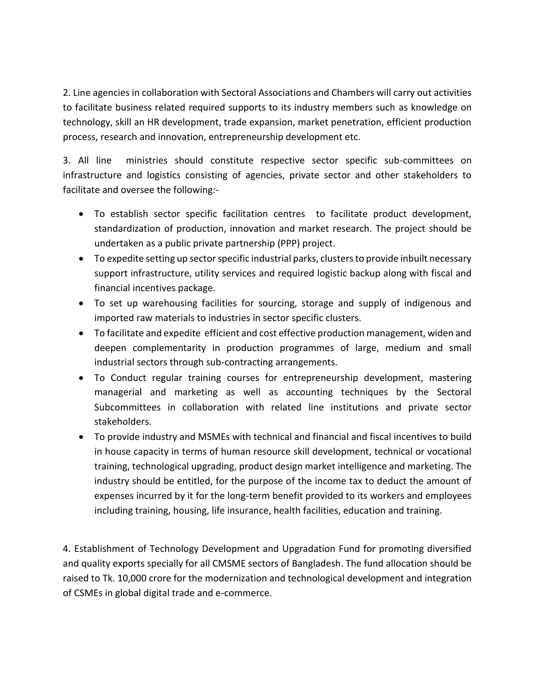2. Line agencies in collaboration with Sectoral Associations and Chambers will carry out activities to facilitate business related required supports to its industry members such as knowledge on technology, skill an HR development, trade expansion, market penetration, efficient production process, research and innovation, entrepreneurship development etc.

3. All line ministries should constitute respective sector specific sub-committees on infrastructure and logistics consisting of agencies, private sector and other stakeholders to facilitate and oversee the following:-

- To establish sector specific facilitation centres to facilitate product development, standardization of production, innovation and market research. The project should be undertaken as a public private partnership (PPP) project.
- To expedite setting up sector specific industrial parks, clusters to provide inbuilt necessary support infrastructure, utility services and required logistic backup along with fiscal and financial incentives package.
- To set up warehousing facilities for sourcing, storage and supply of indigenous and imported raw materials to industries in sector specific clusters.
- To facilitate and expedite efficient and cost effective production management, widen and deepen complementarity in production programmes of large, medium and small industrial sectors through sub-contracting arrangements.
- To Conduct regular training courses for entrepreneurship development, mastering managerial and marketing as well as accounting techniques by the Sectoral Subcommittees in collaboration with related line institutions and private sector stakeholders.
- To provide industry and MSMEs with technical and financial and fiscal incentives to build in house capacity in terms of human resource skill development, technical or vocational training, technological upgrading, product design market intelligence and marketing. The industry should be entitled, for the purpose of the income tax to deduct the amount of expenses incurred by it for the long-term benefit provided to its workers and employees including training, housing, life insurance, health facilities, education and training.

4. Establishment of Technology Development and Upgradation Fund for promoting diversified and quality exports specially for all CMSME sectors of Bangladesh. The fund allocation should be raised to Tk. 10,000 crore for the modernization and technological development and integration of CSMEs in global digital trade and e-commerce.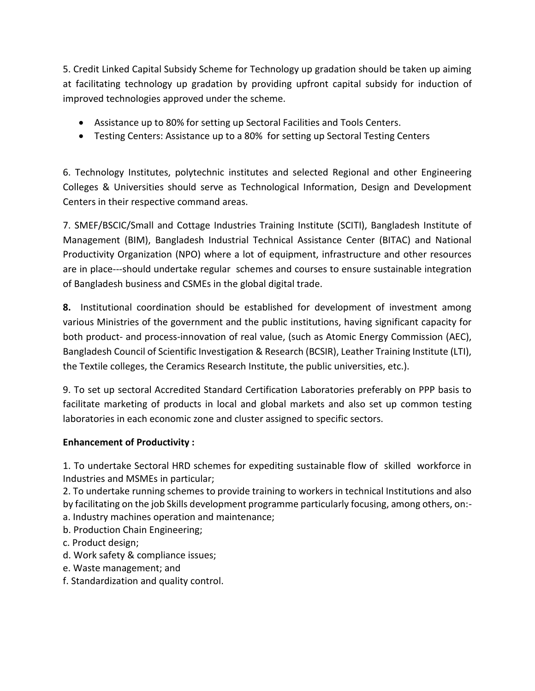5. Credit Linked Capital Subsidy Scheme for Technology up gradation should be taken up aiming at facilitating technology up gradation by providing upfront capital subsidy for induction of improved technologies approved under the scheme.

- Assistance up to 80% for setting up Sectoral Facilities and Tools Centers.
- Testing Centers: Assistance up to a 80% for setting up Sectoral Testing Centers

6. Technology Institutes, polytechnic institutes and selected Regional and other Engineering Colleges & Universities should serve as Technological Information, Design and Development Centers in their respective command areas.

7. SMEF/BSCIC/Small and Cottage Industries Training Institute (SCITI), Bangladesh Institute of Management (BIM), Bangladesh Industrial Technical Assistance Center (BITAC) and National Productivity Organization (NPO) where a lot of equipment, infrastructure and other resources are in place---should undertake regular schemes and courses to ensure sustainable integration of Bangladesh business and CSMEs in the global digital trade.

**8.** Institutional coordination should be established for development of investment among various Ministries of the government and the public institutions, having significant capacity for both product- and process-innovation of real value, (such as Atomic Energy Commission (AEC), Bangladesh Council of Scientific Investigation & Research (BCSIR), Leather Training Institute (LTI), the Textile colleges, the Ceramics Research Institute, the public universities, etc.).

9. To set up sectoral Accredited Standard Certification Laboratories preferably on PPP basis to facilitate marketing of products in local and global markets and also set up common testing laboratories in each economic zone and cluster assigned to specific sectors.

## **Enhancement of Productivity :**

1. To undertake Sectoral HRD schemes for expediting sustainable flow of skilled workforce in Industries and MSMEs in particular;

2. To undertake running schemes to provide training to workers in technical Institutions and also by facilitating on the job Skills development programme particularly focusing, among others, on: a. Industry machines operation and maintenance;

- b. Production Chain Engineering;
- c. Product design;
- d. Work safety & compliance issues;
- e. Waste management; and
- f. Standardization and quality control.